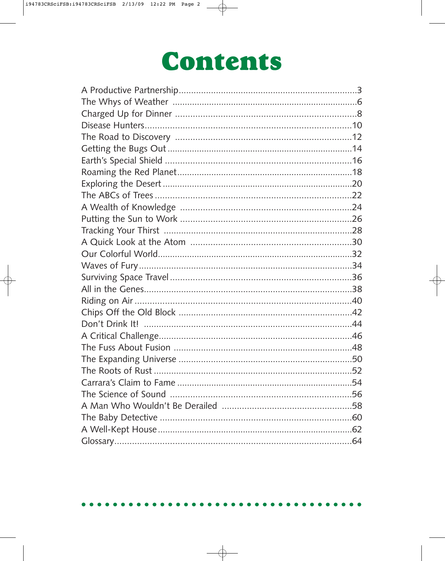## **Contents**

## $\bullet$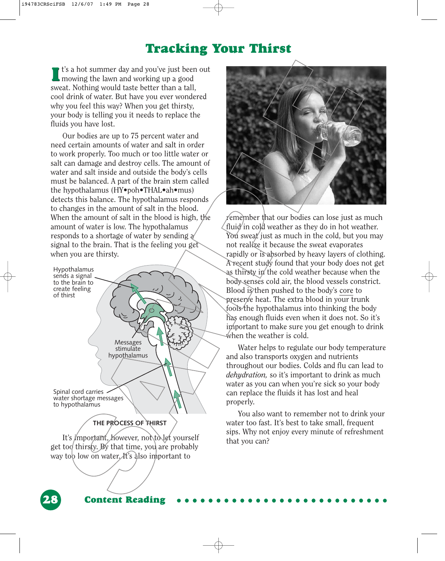## **Tracking Your Thirst**

t's a hot summer day and you've just been out mowing the lawn and working up a good sweat. Nothing would taste better than a tall, cool drink of water. But have you ever wondered why you feel this way? When you get thirsty, your body is telling you it needs to replace the fluids you have lost. **I**

Our bodies are up to 75 percent water and need certain amounts of water and salt in order to work properly. Too much or too little water or salt can damage and destroy cells. The amount of water and salt inside and outside the body's cells must be balanced. A part of the brain stem called the hypothalamus (HY•poh•THAL•ah•mus) detects this balance. The hypothalamus responds to changes in the amount of salt in the blood. When the amount of salt in the blood is high, the amount of water is low. The hypothalamus responds to a shortage of water by sending a signal to the brain. That is the feeling you get when you are thirsty.



It's important, however, not to let yourself get too thirsty. By that time, you are probably way too low on water. It's also important to



remember that our bodies can lose just as much fluid in cold weather as they do in hot weather. You sweat just as much in the cold, but you may not realize it because the sweat evaporates rapidly or is absorbed by heavy layers of clothing. A recent study found that your body does not get as thirsty in the cold weather because when the body senses cold air, the blood vessels constrict. Blood is then pushed to the body's core to preserve heat. The extra blood in your trunk fools the hypothalamus into thinking the body has enough fluids even when it does not. So it's important to make sure you get enough to drink when the weather is cold.

Water helps to regulate our body temperature and also transports oxygen and nutrients throughout our bodies. Colds and flu can lead to *dehydration,* so it's important to drink as much water as you can when you're sick so your body can replace the fluids it has lost and heal properly.

You also want to remember not to drink your water too fast. It's best to take small, frequent sips. Why not enjoy every minute of refreshment that you can?